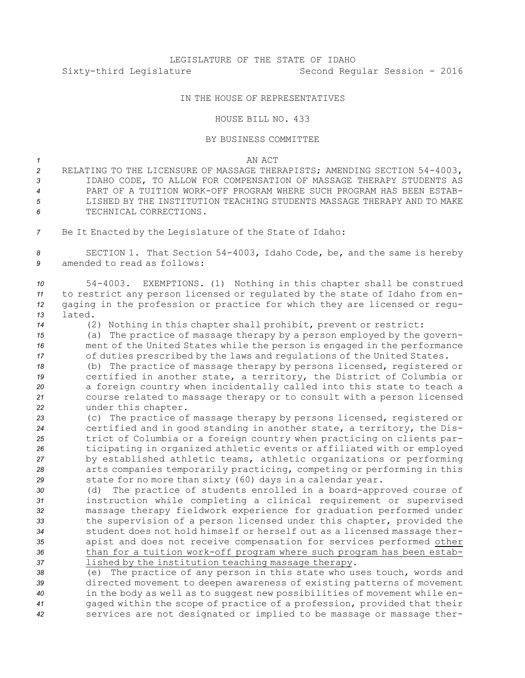## IN THE HOUSE OF REPRESENTATIVES

## HOUSE BILL NO. 433

## BY BUSINESS COMMITTEE

## *1* AN ACT

- *<sup>2</sup>* RELATING TO THE LICENSURE OF MASSAGE THERAPISTS; AMENDING SECTION 54-4003, *3* IDAHO CODE, TO ALLOW FOR COMPENSATION OF MASSAGE THERAPY STUDENTS AS *4* PART OF A TUITION WORK-OFF PROGRAM WHERE SUCH PROGRAM HAS BEEN ESTAB-*5* LISHED BY THE INSTITUTION TEACHING STUDENTS MASSAGE THERAPY AND TO MAKE *6* TECHNICAL CORRECTIONS.
- *<sup>7</sup>* Be It Enacted by the Legislature of the State of Idaho:

*<sup>8</sup>* SECTION 1. That Section 54-4003, Idaho Code, be, and the same is hereby *9* amended to read as follows:

 54-4003. EXEMPTIONS. (1) Nothing in this chapter shall be construed to restrict any person licensed or regulated by the state of Idaho from en- gaging in the profession or practice for which they are licensed or regu-*13* lated.

*<sup>14</sup>* (2) Nothing in this chapter shall prohibit, prevent or restrict:

*<sup>15</sup>* (a) The practice of massage therapy by <sup>a</sup> person employed by the govern-*<sup>16</sup>* ment of the United States while the person is engaged in the performance *<sup>17</sup>* of duties prescribed by the laws and regulations of the United States.

 (b) The practice of massage therapy by persons licensed, registered or certified in another state, <sup>a</sup> territory, the District of Columbia or <sup>a</sup> foreign country when incidentally called into this state to teach <sup>a</sup> course related to massage therapy or to consult with <sup>a</sup> person licensed under this chapter.

 (c) The practice of massage therapy by persons licensed, registered or certified and in good standing in another state, <sup>a</sup> territory, the Dis- trict of Columbia or <sup>a</sup> foreign country when practicing on clients par- ticipating in organized athletic events or affiliated with or employed by established athletic teams, athletic organizations or performing arts companies temporarily practicing, competing or performing in this state for no more than sixty (60) days in <sup>a</sup> calendar year.

 (d) The practice of students enrolled in <sup>a</sup> board-approved course of instruction while completing <sup>a</sup> clinical requirement or supervised massage therapy fieldwork experience for graduation performed under the supervision of <sup>a</sup> person licensed under this chapter, provided the student does not hold himself or herself out as <sup>a</sup> licensed massage ther- apist and does not receive compensation for services performed other than for <sup>a</sup> tuition work-off program where such program has been estab-lished by the institution teaching massage therapy.

 (e) The practice of any person in this state who uses touch, words and directed movement to deepen awareness of existing patterns of movement in the body as well as to suggest new possibilities of movement while en- gaged within the scope of practice of <sup>a</sup> profession, provided that their services are not designated or implied to be massage or massage ther-